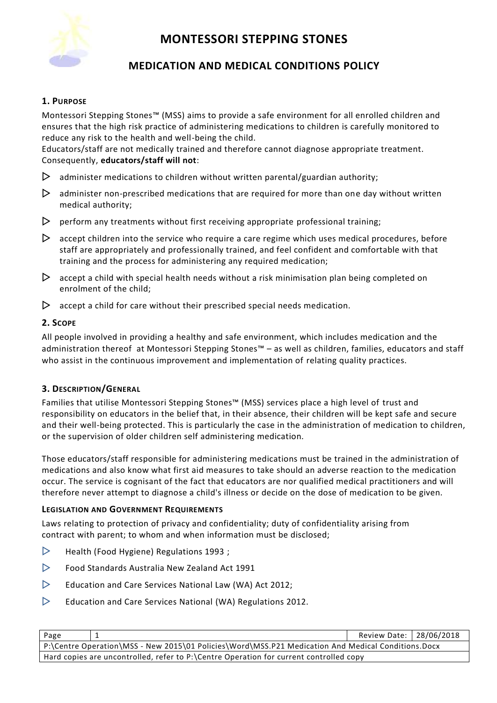

# **MEDICATION AND MEDICAL CONDITIONS POLICY**

# **1. PURPOSE**

Montessori Stepping Stones™ (MSS) aims to provide a safe environment for all enrolled children and ensures that the high risk practice of administering medications to children is carefully monitored to reduce any risk to the health and well-being the child.

Educators/staff are not medically trained and therefore cannot diagnose appropriate treatment. Consequently, **educators/staff will not**:

- $\triangleright$  administer medications to children without written parental/guardian authority;
- $\triangleright$  administer non-prescribed medications that are required for more than one day without written medical authority;
- $\triangleright$  perform any treatments without first receiving appropriate professional training;
- $\triangleright$  accept children into the service who require a care regime which uses medical procedures, before staff are appropriately and professionally trained, and feel confident and comfortable with that training and the process for administering any required medication;
- $\triangleright$  accept a child with special health needs without a risk minimisation plan being completed on enrolment of the child;
- $\triangleright$  accept a child for care without their prescribed special needs medication.

### **2. SCOPE**

All people involved in providing a healthy and safe environment, which includes medication and the administration thereof at Montessori Stepping Stones™ – as well as children, families, educators and staff who assist in the continuous improvement and implementation of relating quality practices.

### **3. DESCRIPTION/GENERAL**

Families that utilise Montessori Stepping Stones™ (MSS) services place a high level of trust and responsibility on educators in the belief that, in their absence, their children will be kept safe and secure and their well-being protected. This is particularly the case in the administration of medication to children, or the supervision of older children self administering medication.

Those educators/staff responsible for administering medications must be trained in the administration of medications and also know what first aid measures to take should an adverse reaction to the medication occur. The service is cognisant of the fact that educators are nor qualified medical practitioners and will therefore never attempt to diagnose a child's illness or decide on the dose of medication to be given.

### **LEGISLATION AND GOVERNMENT REQUIREMENTS**

Laws relating to protection of privacy and confidentiality; duty of confidentiality arising from contract with parent; to whom and when information must be disclosed;

- $\triangleright$  [Health \(Food Hygiene\) Regulations 1993](http://www.slp.wa.gov.au/legislation/agency.nsf/docep_main_mrtitle_4245_homepage.html);
- $\triangleright$  Food Standards Australia New Zealand Act 1991
- $\triangleright$  Education and Care Services National Law (WA) Act 2012;
- $\triangleright$  Education and Care Services National (WA) Regulations 2012.

| Page                                                                                               | Review Date: 28/06/2018 |  |
|----------------------------------------------------------------------------------------------------|-------------------------|--|
| P:\Centre Operation\MSS - New 2015\01 Policies\Word\MSS.P21 Medication And Medical Conditions.Docx |                         |  |
| Hard copies are uncontrolled, refer to P:\Centre Operation for current controlled copy             |                         |  |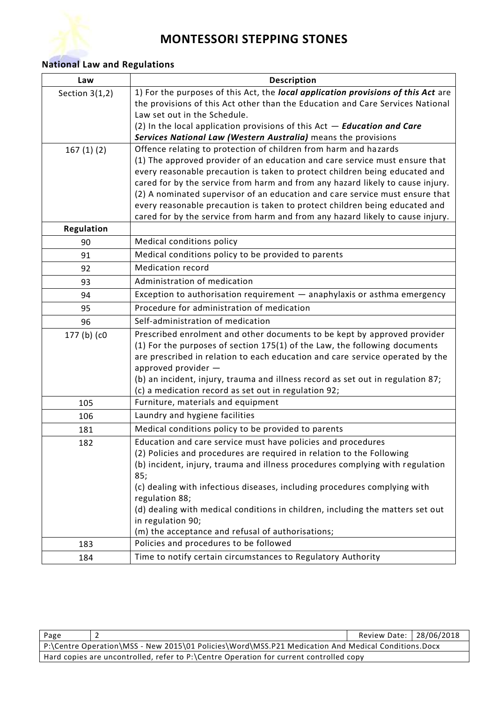

# **National Law and Regulations**

| Law              | <b>Description</b>                                                                                                                                            |  |
|------------------|---------------------------------------------------------------------------------------------------------------------------------------------------------------|--|
| Section $3(1,2)$ | 1) For the purposes of this Act, the local application provisions of this Act are                                                                             |  |
|                  | the provisions of this Act other than the Education and Care Services National                                                                                |  |
|                  | Law set out in the Schedule.                                                                                                                                  |  |
|                  | (2) In the local application provisions of this $Act - Education$ and Care                                                                                    |  |
|                  | Services National Law (Western Australia) means the provisions                                                                                                |  |
| 167(1)(2)        | Offence relating to protection of children from harm and hazards                                                                                              |  |
|                  | (1) The approved provider of an education and care service must ensure that                                                                                   |  |
|                  | every reasonable precaution is taken to protect children being educated and<br>cared for by the service from harm and from any hazard likely to cause injury. |  |
|                  | (2) A nominated supervisor of an education and care service must ensure that                                                                                  |  |
|                  | every reasonable precaution is taken to protect children being educated and                                                                                   |  |
|                  | cared for by the service from harm and from any hazard likely to cause injury.                                                                                |  |
| Regulation       |                                                                                                                                                               |  |
| 90               | Medical conditions policy                                                                                                                                     |  |
| 91               | Medical conditions policy to be provided to parents                                                                                                           |  |
| 92               | <b>Medication record</b>                                                                                                                                      |  |
| 93               | Administration of medication                                                                                                                                  |  |
| 94               | Exception to authorisation requirement - anaphylaxis or asthma emergency                                                                                      |  |
| 95               | Procedure for administration of medication                                                                                                                    |  |
| 96               | Self-administration of medication                                                                                                                             |  |
| 177 (b) (c0      | Prescribed enrolment and other documents to be kept by approved provider                                                                                      |  |
|                  | (1) For the purposes of section 175(1) of the Law, the following documents                                                                                    |  |
|                  | are prescribed in relation to each education and care service operated by the                                                                                 |  |
|                  | approved provider -                                                                                                                                           |  |
|                  | (b) an incident, injury, trauma and illness record as set out in regulation 87;<br>(c) a medication record as set out in regulation 92;                       |  |
| 105              | Furniture, materials and equipment                                                                                                                            |  |
| 106              | Laundry and hygiene facilities                                                                                                                                |  |
| 181              | Medical conditions policy to be provided to parents                                                                                                           |  |
|                  | Education and care service must have policies and procedures                                                                                                  |  |
| 182              | (2) Policies and procedures are required in relation to the Following                                                                                         |  |
|                  | (b) incident, injury, trauma and illness procedures complying with regulation                                                                                 |  |
|                  | 85;                                                                                                                                                           |  |
|                  | (c) dealing with infectious diseases, including procedures complying with                                                                                     |  |
|                  | regulation 88;                                                                                                                                                |  |
|                  | (d) dealing with medical conditions in children, including the matters set out                                                                                |  |
|                  | in regulation 90;                                                                                                                                             |  |
|                  | (m) the acceptance and refusal of authorisations;                                                                                                             |  |
| 183              | Policies and procedures to be followed                                                                                                                        |  |
| 184              | Time to notify certain circumstances to Regulatory Authority                                                                                                  |  |

| Page                                                                                   |                                                                                                      | Review Date: 28/06/2018 |  |
|----------------------------------------------------------------------------------------|------------------------------------------------------------------------------------------------------|-------------------------|--|
|                                                                                        | P:\Centre Operation\MSS - New 2015\01 Policies\Word\MSS.P21 Medication And Medical Conditions.Docx ( |                         |  |
| Hard copies are uncontrolled, refer to P:\Centre Operation for current controlled copy |                                                                                                      |                         |  |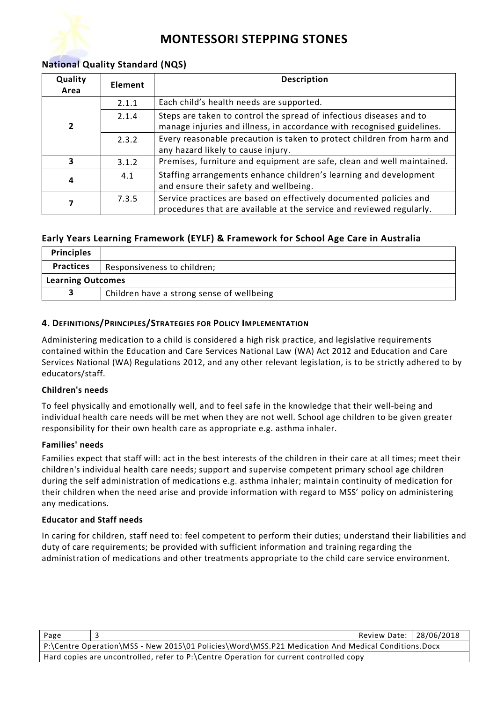

# **National Quality Standard (NQS)**

| Quality<br>Area | Element | <b>Description</b>                                                                                                                            |  |
|-----------------|---------|-----------------------------------------------------------------------------------------------------------------------------------------------|--|
|                 | 2.1.1   | Each child's health needs are supported.                                                                                                      |  |
| 2               | 2.1.4   | Steps are taken to control the spread of infectious diseases and to<br>manage injuries and illness, in accordance with recognised guidelines. |  |
|                 | 2.3.2   | Every reasonable precaution is taken to protect children from harm and<br>any hazard likely to cause injury.                                  |  |
| 3               | 3.1.2   | Premises, furniture and equipment are safe, clean and well maintained.                                                                        |  |
| 4               | 4.1     | Staffing arrangements enhance children's learning and development<br>and ensure their safety and wellbeing.                                   |  |
|                 | 7.3.5   | Service practices are based on effectively documented policies and<br>procedures that are available at the service and reviewed regularly.    |  |

# **Early Years Learning Framework (EYLF) & Framework for School Age Care in Australia**

| <b>Principles</b>        |                                           |
|--------------------------|-------------------------------------------|
| <b>Practices</b>         | Responsiveness to children;               |
| <b>Learning Outcomes</b> |                                           |
|                          | Children have a strong sense of wellbeing |

### **4. DEFINITIONS/PRINCIPLES/STRATEGIES FOR POLICY IMPLEMENTATION**

Administering medication to a child is considered a high risk practice, and legislative requirements contained within the Education and Care Services National Law (WA) Act 2012 and Education and Care Services National (WA) Regulations 2012, and any other relevant legislation, is to be strictly adhered to by educators/staff.

### **Children's needs**

To feel physically and emotionally well, and to feel safe in the knowledge that their well-being and individual health care needs will be met when they are not well. School age children to be given greater responsibility for their own health care as appropriate e.g. asthma inhaler.

### **Families' needs**

Families expect that staff will: act in the best interests of the children in their care at all times; meet their children's individual health care needs; support and supervise competent primary school age children during the self administration of medications e.g. asthma inhaler; maintain continuity of medication for their children when the need arise and provide information with regard to MSS' policy on administering any medications.

### **Educator and Staff needs**

In caring for children, staff need to: feel competent to perform their duties; understand their liabilities and duty of care requirements; be provided with sufficient information and training regarding the administration of medications and other treatments appropriate to the child care service environment.

| Page                                                                                   |                                                                                                    | Review Date: 28/06/2018 |  |
|----------------------------------------------------------------------------------------|----------------------------------------------------------------------------------------------------|-------------------------|--|
|                                                                                        | P:\Centre Operation\MSS - New 2015\01 Policies\Word\MSS.P21 Medication And Medical Conditions.Docx |                         |  |
| Hard copies are uncontrolled, refer to P:\Centre Operation for current controlled copy |                                                                                                    |                         |  |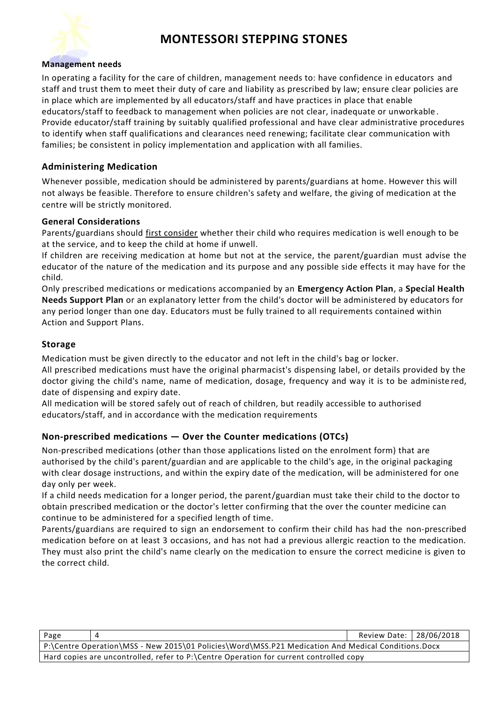#### **Management needs**

In operating a facility for the care of children, management needs to: have confidence in educators and staff and trust them to meet their duty of care and liability as prescribed by law; ensure clear policies are in place which are implemented by all educators/staff and have practices in place that enable educators/staff to feedback to management when policies are not clear, inadequate or unworkable . Provide educator/staff training by suitably qualified professional and have clear administrative procedures to identify when staff qualifications and clearances need renewing; facilitate clear communication with families; be consistent in policy implementation and application with all families.

### **Administering Medication**

Whenever possible, medication should be administered by parents/guardians at home. However this will not always be feasible. Therefore to ensure children's safety and welfare, the giving of medication at the centre will be strictly monitored.

#### **General Considerations**

Parents/guardians should first consider whether their child who requires medication is well enough to be at the service, and to keep the child at home if unwell.

If children are receiving medication at home but not at the service, the parent/guardian must advise the educator of the nature of the medication and its purpose and any possible side effects it may have for the child.

Only prescribed medications or medications accompanied by an **Emergency Action Plan**, a **Special Health Needs Support Plan** or an explanatory letter from the child's doctor will be administered by educators for any period longer than one day. Educators must be fully trained to all requirements contained within Action and Support Plans.

### **Storage**

Medication must be given directly to the educator and not left in the child's bag or locker.

All prescribed medications must have the original pharmacist's dispensing label, or details provided by the doctor giving the child's name, name of medication, dosage, frequency and way it is to be administe red, date of dispensing and expiry date.

All medication will be stored safely out of reach of children, but readily accessible to authorised educators/staff, and in accordance with the medication requirements

### **Non-prescribed medications — Over the Counter medications (OTCs)**

Non-prescribed medications (other than those applications listed on the enrolment form) that are authorised by the child's parent/guardian and are applicable to the child's age, in the original packaging with clear dosage instructions, and within the expiry date of the medication, will be administered for one day only per week.

If a child needs medication for a longer period, the parent/guardian must take their child to the doctor to obtain prescribed medication or the doctor's letter confirming that the over the counter medicine can continue to be administered for a specified length of time.

Parents/guardians are required to sign an endorsement to confirm their child has had the non-prescribed medication before on at least 3 occasions, and has not had a previous allergic reaction to the medication. They must also print the child's name clearly on the medication to ensure the correct medicine is given to the correct child.

| Page                                                                                   |                                                                                                    | Review Date: 28/06/2018 |  |
|----------------------------------------------------------------------------------------|----------------------------------------------------------------------------------------------------|-------------------------|--|
|                                                                                        | P:\Centre Operation\MSS - New 2015\01 Policies\Word\MSS.P21 Medication And Medical Conditions.Docx |                         |  |
| Hard copies are uncontrolled, refer to P:\Centre Operation for current controlled copy |                                                                                                    |                         |  |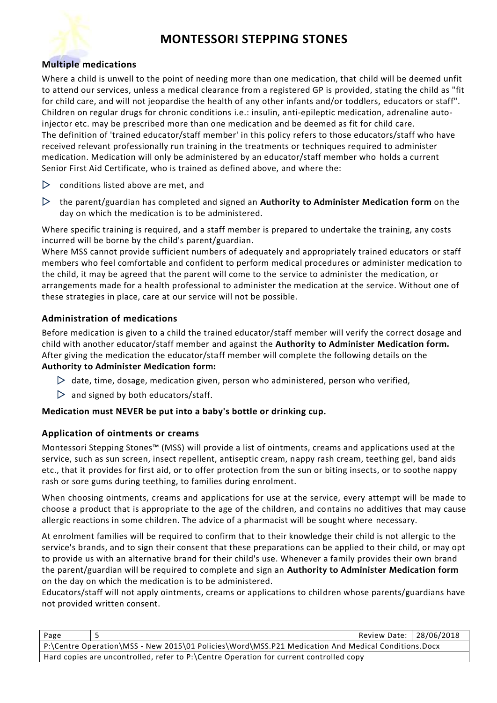

### **Multiple medications**

Where a child is unwell to the point of needing more than one medication, that child will be deemed unfit to attend our services, unless a medical clearance from a registered GP is provided, stating the child as "fit for child care, and will not jeopardise the health of any other infants and/or toddlers, educators or staff". Children on regular drugs for chronic conditions i.e.: insulin, anti-epileptic medication, adrenaline autoinjector etc. may be prescribed more than one medication and be deemed as fit for child care. The definition of 'trained educator/staff member' in this policy refers to those educators/staff who have received relevant professionally run training in the treatments or techniques required to administer medication. Medication will only be administered by an educator/staff member who holds a current Senior First Aid Certificate, who is trained as defined above, and where the:

- $\triangleright$  conditions listed above are met, and
- the parent/guardian has completed and signed an **Authority to Administer Medication form** on the day on which the medication is to be administered.

Where specific training is required, and a staff member is prepared to undertake the training, any costs incurred will be borne by the child's parent/guardian.

Where MSS cannot provide sufficient numbers of adequately and appropriately trained educators or staff members who feel comfortable and confident to perform medical procedures or administer medication to the child, it may be agreed that the parent will come to the service to administer the medication, or arrangements made for a health professional to administer the medication at the service. Without one of these strategies in place, care at our service will not be possible.

### **Administration of medications**

Before medication is given to a child the trained educator/staff member will verify the correct dosage and child with another educator/staff member and against the **Authority to Administer Medication form.** After giving the medication the educator/staff member will complete the following details on the **Authority to Administer Medication form:**

- $\triangleright$  date, time, dosage, medication given, person who administered, person who verified,
- $\triangleright$  and signed by both educators/staff.

### **Medication must NEVER be put into a baby's bottle or drinking cup.**

### **Application of ointments or creams**

Montessori Stepping Stones™ (MSS) will provide a list of ointments, creams and applications used at the service, such as sun screen, insect repellent, antiseptic cream, nappy rash cream, teething gel, band aids etc., that it provides for first aid, or to offer protection from the sun or biting insects, or to soothe nappy rash or sore gums during teething, to families during enrolment.

When choosing ointments, creams and applications for use at the service, every attempt will be made to choose a product that is appropriate to the age of the children, and contains no additives that may cause allergic reactions in some children. The advice of a pharmacist will be sought where necessary.

At enrolment families will be required to confirm that to their knowledge their child is not allergic to the service's brands, and to sign their consent that these preparations can be applied to their child, or may opt to provide us with an alternative brand for their child's use. Whenever a family provides their own brand the parent/guardian will be required to complete and sign an **Authority to Administer Medication form** on the day on which the medication is to be administered.

Educators/staff will not apply ointments, creams or applications to children whose parents/guardians have not provided written consent.

| Page                                                                                               |  | Review Date:   28/06/2018 |  |
|----------------------------------------------------------------------------------------------------|--|---------------------------|--|
| P:\Centre Operation\MSS - New 2015\01 Policies\Word\MSS.P21 Medication And Medical Conditions.Docx |  |                           |  |
| Hard copies are uncontrolled, refer to P:\Centre Operation for current controlled copy             |  |                           |  |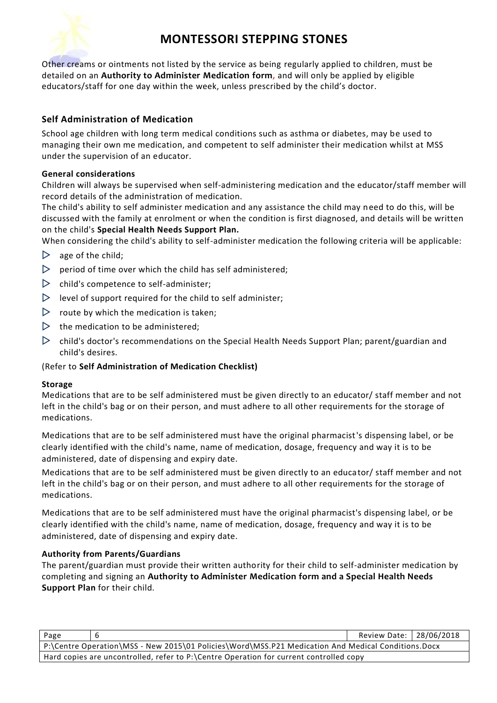

Other creams or ointments not listed by the service as being regularly applied to children, must be detailed on an **Authority to Administer Medication form,** and will only be applied by eligible educators/staff for one day within the week, unless prescribed by the child's doctor.

# **Self Administration of Medication**

School age children with long term medical conditions such as asthma or diabetes, may be used to managing their own me medication, and competent to self administer their medication whilst at MSS under the supervision of an educator.

### **General considerations**

Children will always be supervised when self-administering medication and the educator/staff member will record details of the administration of medication.

The child's ability to self administer medication and any assistance the child may need to do this, will be discussed with the family at enrolment or when the condition is first diagnosed, and details will be written on the child's **Special Health Needs Support Plan.**

When considering the child's ability to self-administer medication the following criteria will be applicable:

- $\triangleright$  age of the child;
- $\triangleright$  period of time over which the child has self administered;
- $\triangleright$  child's competence to self-administer:
- $\triangleright$  level of support required for the child to self administer;
- $\triangleright$  route by which the medication is taken;
- $\triangleright$  the medication to be administered;
- $\triangleright$  child's doctor's recommendations on the Special Health Needs Support Plan; parent/guardian and child's desires.

### (Refer to **Self Administration of Medication Checklist)**

### **Storage**

Medications that are to be self administered must be given directly to an educator/ staff member and not left in the child's bag or on their person, and must adhere to all other requirements for the storage of medications.

Medications that are to be self administered must have the original pharmacist's dispensing label, or be clearly identified with the child's name, name of medication, dosage, frequency and way it is to be administered, date of dispensing and expiry date.

Medications that are to be self administered must be given directly to an educator/ staff member and not left in the child's bag or on their person, and must adhere to all other requirements for the storage of medications.

Medications that are to be self administered must have the original pharmacist's dispensing label, or be clearly identified with the child's name, name of medication, dosage, frequency and way it is to be administered, date of dispensing and expiry date.

### **Authority from Parents/Guardians**

The parent/guardian must provide their written authority for their child to self-administer medication by completing and signing an **Authority to Administer Medication form and a Special Health Needs Support Plan** for their child.

| Page                                                                                   |                                                                                                      | Review Date:   28/06/2018 |  |
|----------------------------------------------------------------------------------------|------------------------------------------------------------------------------------------------------|---------------------------|--|
|                                                                                        | P:\Centre Operation\MSS - New 2015\01 Policies\Word\MSS.P21 Medication And Medical Conditions.Docx ( |                           |  |
| Hard copies are uncontrolled, refer to P:\Centre Operation for current controlled copy |                                                                                                      |                           |  |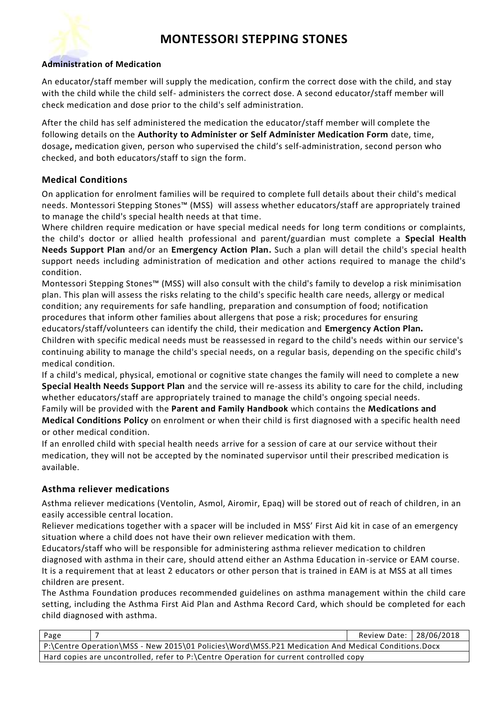

### **Administration of Medication**

An educator/staff member will supply the medication, confirm the correct dose with the child, and stay with the child while the child self- administers the correct dose. A second educator/staff member will check medication and dose prior to the child's self administration.

After the child has self administered the medication the educator/staff member will complete the following details on the **Authority to Administer or Self Administer Medication Form** date, time, dosage**,** medication given, person who supervised the child's self-administration, second person who checked, and both educators/staff to sign the form.

### **Medical Conditions**

On application for enrolment families will be required to complete full details about their child's medical needs. Montessori Stepping Stones™ (MSS) will assess whether educators/staff are appropriately trained to manage the child's special health needs at that time.

Where children require medication or have special medical needs for long term conditions or complaints, the child's doctor or allied health professional and parent/guardian must complete a **Special Health Needs Support PIan** and/or an **Emergency Action Plan.** Such a plan will detail the child's special health support needs including administration of medication and other actions required to manage the child's condition.

Montessori Stepping Stones™ (MSS) will also consult with the child's family to develop a risk minimisation plan. This plan will assess the risks relating to the child's specific health care needs, allergy or medical condition; any requirements for safe handling, preparation and consumption of food; notification procedures that inform other families about allergens that pose a risk; procedures for ensuring educators/staff/volunteers can identify the child, their medication and **Emergency Action Plan.** Children with specific medical needs must be reassessed in regard to the child's needs within our service's

continuing ability to manage the child's special needs, on a regular basis, depending on the specific child's medical condition.

If a child's medical, physical, emotional or cognitive state changes the family will need to complete a new **Special Health Needs Support Plan** and the service will re-assess its ability to care for the child, including whether educators/staff are appropriately trained to manage the child's ongoing special needs.

Family will be provided with the **Parent and Family Handbook** which contains the **Medications and Medical Conditions Policy** on enrolment or when their child is first diagnosed with a specific health need or other medical condition.

If an enrolled child with special health needs arrive for a session of care at our service without their medication, they will not be accepted by the nominated supervisor until their prescribed medication is available.

### **Asthma reliever medications**

Asthma reliever medications (Ventolin, Asmol, Airomir, Epaq) will be stored out of reach of children, in an easily accessible central location.

Reliever medications together with a spacer will be included in MSS' First Aid kit in case of an emergency situation where a child does not have their own reliever medication with them.

Educators/staff who will be responsible for administering asthma reliever medication to children diagnosed with asthma in their care, should attend either an Asthma Education in-service or EAM course. It is a requirement that at least 2 educators or other person that is trained in EAM is at MSS at all times children are present.

The Asthma Foundation produces recommended guidelines on asthma management within the child care setting, including the Asthma First Aid Plan and Asthma Record Card, which should be completed for each child diagnosed with asthma.

| Page                                                                                   |                                                                                                    | Review Date:   28/06/2018 |  |
|----------------------------------------------------------------------------------------|----------------------------------------------------------------------------------------------------|---------------------------|--|
|                                                                                        | P:\Centre Operation\MSS - New 2015\01 Policies\Word\MSS.P21 Medication And Medical Conditions.Docx |                           |  |
| Hard copies are uncontrolled, refer to P:\Centre Operation for current controlled copy |                                                                                                    |                           |  |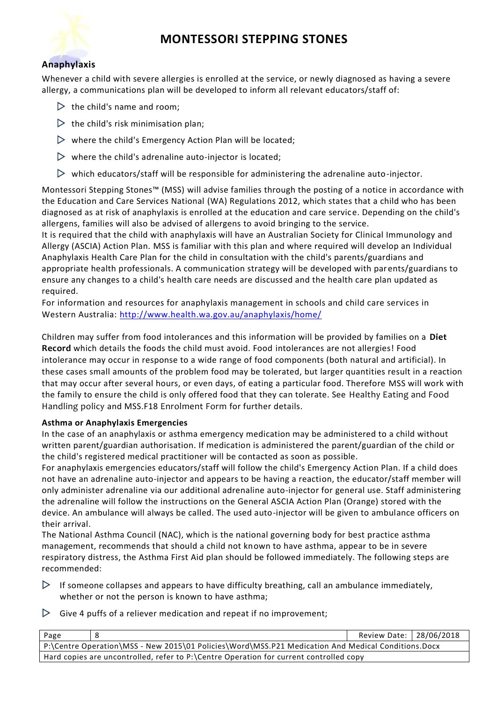

# **Anaphylaxis**

Whenever a child with severe allergies is enrolled at the service, or newly diagnosed as having a severe allergy, a communications plan will be developed to inform all relevant educators/staff of:

- $\triangleright$  the child's name and room;
- $\triangleright$  the child's risk minimisation plan;
- $\triangleright$  where the child's Emergency Action Plan will be located;
- $\triangleright$  where the child's adrenaline auto-injector is located;
- $\triangleright$  which educators/staff will be responsible for administering the adrenaline auto-injector.

Montessori Stepping Stones™ (MSS) will advise families through the posting of a notice in accordance with the Education and Care Services National (WA) Regulations 2012, which states that a child who has been diagnosed as at risk of anaphylaxis is enrolled at the education and care service. Depending on the child's allergens, families will also be advised of allergens to avoid bringing to the service.

It is required that the child with anaphylaxis will have an Australian Society for Clinical Immunology and Allergy (ASCIA) Action Plan. MSS is familiar with this plan and where required will develop an Individual Anaphylaxis Health Care Plan for the child in consultation with the child's parents/guardians and appropriate health professionals. A communication strategy will be developed with parents/guardians to ensure any changes to a child's health care needs are discussed and the health care plan updated as required.

For information and resources for anaphylaxis management in schools and child care services in Western Australia:<http://www.health.wa.gov.au/anaphylaxis/home/>

Children may suffer from food intolerances and this information will be provided by families on a **Diet Record** which details the foods the child must avoid. Food intolerances are not allergies! Food intolerance may occur in response to a wide range of food components (both natural and artificial). In these cases small amounts of the problem food may be tolerated, but larger quantities result in a reaction that may occur after several hours, or even days, of eating a particular food. Therefore MSS will work with the family to ensure the child is only offered food that they can tolerate. See Healthy Eating and Food Handling policy and MSS.F18 Enrolment Form for further details.

### **Asthma or Anaphylaxis Emergencies**

In the case of an anaphylaxis or asthma emergency medication may be administered to a child without written parent/guardian authorisation. If medication is administered the parent/guardian of the child or the child's registered medical practitioner will be contacted as soon as possible.

For anaphylaxis emergencies educators/staff will follow the child's Emergency Action Plan. If a child does not have an adrenaline auto-injector and appears to be having a reaction, the educator/staff member will only administer adrenaline via our additional adrenaline auto-injector for general use. Staff administering the adrenaline will follow the instructions on the General ASCIA Action Plan (Orange) stored with the device. An ambulance will always be called. The used auto-injector will be given to ambulance officers on their arrival.

The National Asthma Council (NAC), which is the national governing body for best practice asthma management, recommends that should a child not known to have asthma, appear to be in severe respiratory distress, the Asthma First Aid plan should be followed immediately. The following steps are recommended:

- $\triangleright$  If someone collapses and appears to have difficulty breathing, call an ambulance immediately, whether or not the person is known to have asthma;
- $\triangleright$  Give 4 puffs of a reliever medication and repeat if no improvement;

| Page                                                                                   |                                                                                                    | Review Date:   28/06/2018 |  |
|----------------------------------------------------------------------------------------|----------------------------------------------------------------------------------------------------|---------------------------|--|
|                                                                                        | P:\Centre Operation\MSS - New 2015\01 Policies\Word\MSS.P21 Medication And Medical Conditions.Docx |                           |  |
| Hard copies are uncontrolled, refer to P:\Centre Operation for current controlled copy |                                                                                                    |                           |  |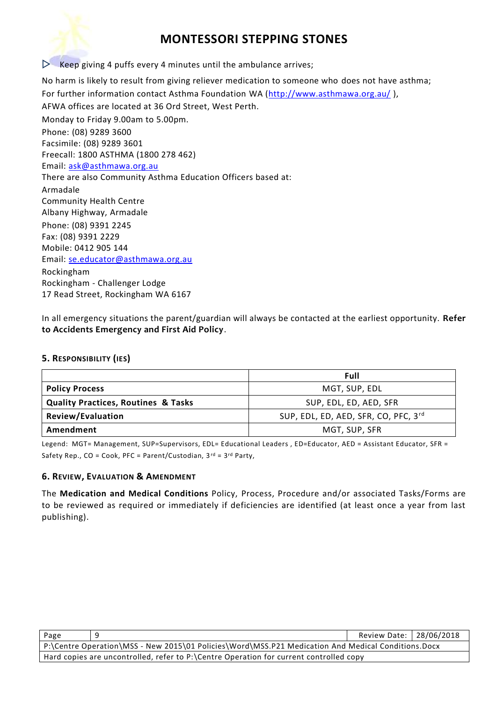

 $\triangleright$  Keep giving 4 puffs every 4 minutes until the ambulance arrives;

No harm is likely to result from giving reliever medication to someone who does not have asthma; For further information contact Asthma Foundation WA [\(http://www.asthmawa.org.au/](http://www.asthmawa.org.au/)), AFWA offices are located at 36 Ord Street, West Perth. Monday to Friday 9.00am to 5.00pm. Phone: (08) 9289 3600 Facsimile: (08) 9289 3601 Freecall: 1800 ASTHMA (1800 278 462) Email: [ask@asthmawa.org.au](mailto:ask@asthmawa.org.au) There are also Community Asthma Education Officers based at: Armadale Community Health Centre Albany Highway, Armadale Phone: (08) 9391 2245 Fax: (08) 9391 2229 Mobile: 0412 905 144 Email: [se.educator@asthmawa.org.au](mailto:se.educator@asthmawa.org.au) Rockingham Rockingham - Challenger Lodge 17 Read Street, Rockingham WA 6167

In all emergency situations the parent/guardian will always be contacted at the earliest opportunity. **Refer to Accidents Emergency and First Aid Policy**.

#### **5. RESPONSIBILITY (IES)**

|                                                | Full                                 |
|------------------------------------------------|--------------------------------------|
| <b>Policy Process</b>                          | MGT, SUP, EDL                        |
| <b>Quality Practices, Routines &amp; Tasks</b> | SUP, EDL, ED, AED, SFR               |
| <b>Review/Evaluation</b>                       | SUP, EDL, ED, AED, SFR, CO, PFC, 3rd |
| Amendment                                      | MGT, SUP, SFR                        |

Legend: MGT= Management, SUP=Supervisors, EDL= Educational Leaders, ED=Educator, AED = Assistant Educator, SFR = Safety Rep.,  $CO = Cook$ , PFC = Parent/Custodian,  $3^{rd} = 3^{rd}$  Party,

### **6. REVIEW, EVALUATION & AMENDMENT**

The **Medication and Medical Conditions** Policy, Process, Procedure and/or associated Tasks/Forms are to be reviewed as required or immediately if deficiencies are identified (at least once a year from last publishing).

| Page                                                                                               |  | Review Date: 28/06/2018 |  |  |  |
|----------------------------------------------------------------------------------------------------|--|-------------------------|--|--|--|
| P:\Centre Operation\MSS - New 2015\01 Policies\Word\MSS.P21 Medication And Medical Conditions.Docx |  |                         |  |  |  |
| Hard copies are uncontrolled, refer to P:\Centre Operation for current controlled copy             |  |                         |  |  |  |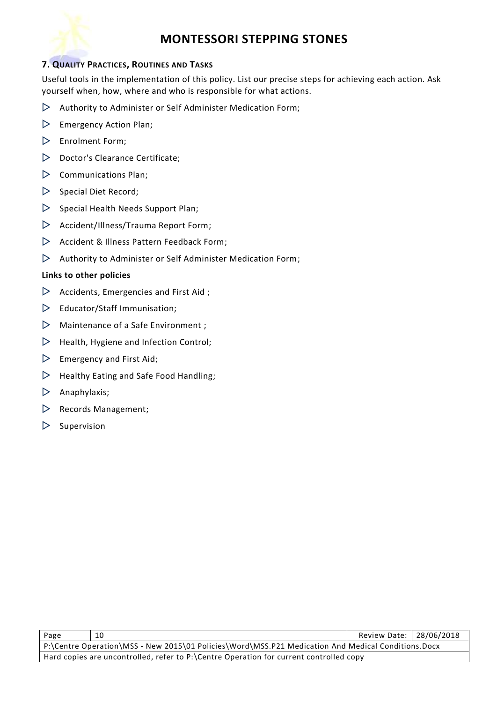

### **7. QUALITY PRACTICES, ROUTINES AND TASKS**

Useful tools in the implementation of this policy. List our precise steps for achieving each action. Ask yourself when, how, where and who is responsible for what actions.

- $\triangleright$  Authority to Administer or Self Administer Medication Form;
- $\triangleright$  Emergency Action Plan;
- $\triangleright$  Enrolment Form;
- $\triangleright$  Doctor's Clearance Certificate;
- $\triangleright$  Communications Plan;
- $\triangleright$  Special Diet Record;
- $\triangleright$  Special Health Needs Support Plan;
- $\triangleright$  Accident/Illness/Trauma Report Form;
- $\triangleright$  Accident & Illness Pattern Feedback Form;
- $\triangleright$  Authority to Administer or Self Administer Medication Form;

#### **Links to other policies**

- $\triangleright$  Accidents, Emergencies and First Aid;
- $\triangleright$  Educator/Staff Immunisation;
- $\triangleright$  Maintenance of a Safe Environment;
- $\triangleright$  Health, Hygiene and Infection Control;
- $\triangleright$  Emergency and First Aid;
- $\triangleright$  Healthy Eating and Safe Food Handling;
- $\triangleright$  Anaphylaxis;
- $\triangleright$  Records Management;
- $\triangleright$  Supervision

| Page                                                                                               | 10 | Review Date:   28/06/2018 |  |  |  |
|----------------------------------------------------------------------------------------------------|----|---------------------------|--|--|--|
| P:\Centre Operation\MSS - New 2015\01 Policies\Word\MSS.P21 Medication And Medical Conditions.Docx |    |                           |  |  |  |
| Hard copies are uncontrolled, refer to P:\Centre Operation for current controlled copy             |    |                           |  |  |  |